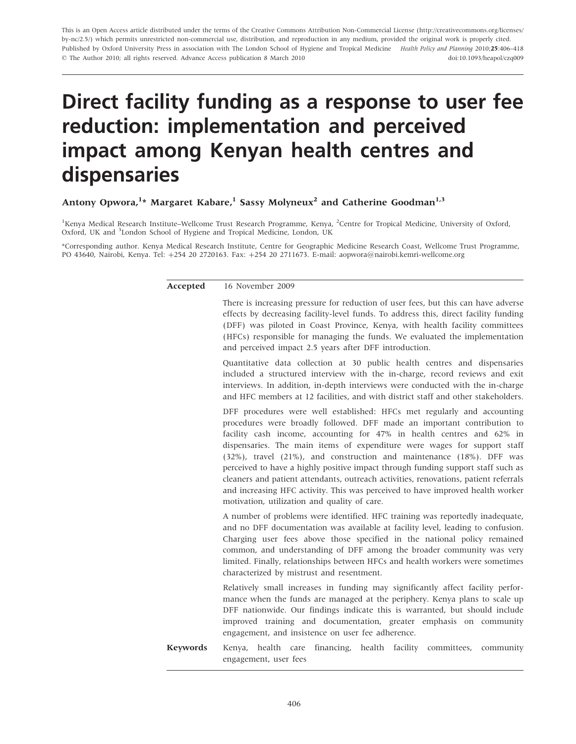This is an Open Access article distributed under the terms of the Creative Commons Attribution Non-Commercial License (<http://creativecommons.org/licenses/> by-nc/2.5/) which permits unrestricted non-commercial use, distribution, and reproduction in any medium, provided the original work is properly cited. Published by Oxford University Press in association with The London School of Hygiene and Tropical Medicine Health Policy and Planning 2010;25:406-418 - The Author 2010; all rights reserved. Advance Access publication 8 March 2010 doi:10.1093/heapol/czq009

# Direct facility funding as a response to user fee reduction: implementation and perceived impact among Kenyan health centres and dispensaries

# Antony Opwora,<sup>1</sup>\* Margaret Kabare,<sup>1</sup> Sassy Molyneux<sup>2</sup> and Catherine Goodman<sup>1,3</sup>

<sup>1</sup>Kenya Medical Research Institute–Wellcome Trust Research Programme, Kenya, <sup>2</sup>Centre for Tropical Medicine, University of Oxford, Oxford, UK and <sup>3</sup>London School of Hygiene and Tropical Medicine, London, UK

\*Corresponding author. Kenya Medical Research Institute, Centre for Geographic Medicine Research Coast, Wellcome Trust Programme, PO 43640, Nairobi, Kenya. Tel: +254 20 2720163. Fax: +254 20 2711673. E-mail: aopwora@nairobi.kemri-wellcome.org

Accepted 16 November 2009

There is increasing pressure for reduction of user fees, but this can have adverse effects by decreasing facility-level funds. To address this, direct facility funding (DFF) was piloted in Coast Province, Kenya, with health facility committees (HFCs) responsible for managing the funds. We evaluated the implementation and perceived impact 2.5 years after DFF introduction.

Quantitative data collection at 30 public health centres and dispensaries included a structured interview with the in-charge, record reviews and exit interviews. In addition, in-depth interviews were conducted with the in-charge and HFC members at 12 facilities, and with district staff and other stakeholders.

DFF procedures were well established: HFCs met regularly and accounting procedures were broadly followed. DFF made an important contribution to facility cash income, accounting for 47% in health centres and 62% in dispensaries. The main items of expenditure were wages for support staff (32%), travel (21%), and construction and maintenance (18%). DFF was perceived to have a highly positive impact through funding support staff such as cleaners and patient attendants, outreach activities, renovations, patient referrals and increasing HFC activity. This was perceived to have improved health worker motivation, utilization and quality of care.

A number of problems were identified. HFC training was reportedly inadequate, and no DFF documentation was available at facility level, leading to confusion. Charging user fees above those specified in the national policy remained common, and understanding of DFF among the broader community was very limited. Finally, relationships between HFCs and health workers were sometimes characterized by mistrust and resentment.

Relatively small increases in funding may significantly affect facility performance when the funds are managed at the periphery. Kenya plans to scale up DFF nationwide. Our findings indicate this is warranted, but should include improved training and documentation, greater emphasis on community engagement, and insistence on user fee adherence.

Keywords Kenya, health care financing, health facility committees, community engagement, user fees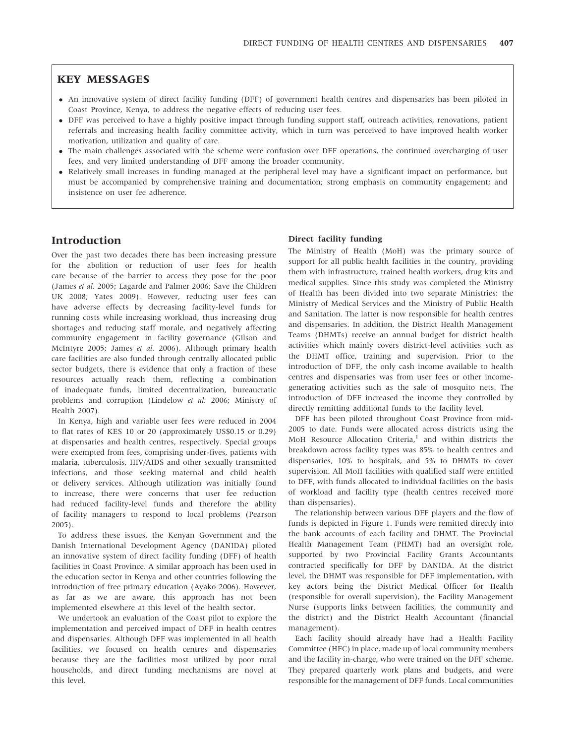## KEY MESSAGES

- An innovative system of direct facility funding (DFF) of government health centres and dispensaries has been piloted in Coast Province, Kenya, to address the negative effects of reducing user fees.
- DFF was perceived to have a highly positive impact through funding support staff, outreach activities, renovations, patient referrals and increasing health facility committee activity, which in turn was perceived to have improved health worker motivation, utilization and quality of care.
- The main challenges associated with the scheme were confusion over DFF operations, the continued overcharging of user fees, and very limited understanding of DFF among the broader community.
- Relatively small increases in funding managed at the peripheral level may have a significant impact on performance, but must be accompanied by comprehensive training and documentation; strong emphasis on community engagement; and insistence on user fee adherence.

# Introduction

Over the past two decades there has been increasing pressure for the abolition or reduction of user fees for health care because of the barrier to access they pose for the poor (James et al. 2005; Lagarde and Palmer 2006; Save the Children UK 2008; Yates 2009). However, reducing user fees can have adverse effects by decreasing facility-level funds for running costs while increasing workload, thus increasing drug shortages and reducing staff morale, and negatively affecting community engagement in facility governance (Gilson and McIntyre 2005; James et al. 2006). Although primary health care facilities are also funded through centrally allocated public sector budgets, there is evidence that only a fraction of these resources actually reach them, reflecting a combination of inadequate funds, limited decentralization, bureaucratic problems and corruption (Lindelow et al. 2006; Ministry of Health 2007).

In Kenya, high and variable user fees were reduced in 2004 to flat rates of KES 10 or 20 (approximately US\$0.15 or 0.29) at dispensaries and health centres, respectively. Special groups were exempted from fees, comprising under-fives, patients with malaria, tuberculosis, HIV/AIDS and other sexually transmitted infections, and those seeking maternal and child health or delivery services. Although utilization was initially found to increase, there were concerns that user fee reduction had reduced facility-level funds and therefore the ability of facility managers to respond to local problems (Pearson 2005).

To address these issues, the Kenyan Government and the Danish International Development Agency (DANIDA) piloted an innovative system of direct facility funding (DFF) of health facilities in Coast Province. A similar approach has been used in the education sector in Kenya and other countries following the introduction of free primary education (Ayako 2006). However, as far as we are aware, this approach has not been implemented elsewhere at this level of the health sector.

We undertook an evaluation of the Coast pilot to explore the implementation and perceived impact of DFF in health centres and dispensaries. Although DFF was implemented in all health facilities, we focused on health centres and dispensaries because they are the facilities most utilized by poor rural households, and direct funding mechanisms are novel at this level.

#### Direct facility funding

The Ministry of Health (MoH) was the primary source of support for all public health facilities in the country, providing them with infrastructure, trained health workers, drug kits and medical supplies. Since this study was completed the Ministry of Health has been divided into two separate Ministries: the Ministry of Medical Services and the Ministry of Public Health and Sanitation. The latter is now responsible for health centres and dispensaries. In addition, the District Health Management Teams (DHMTs) receive an annual budget for district health activities which mainly covers district-level activities such as the DHMT office, training and supervision. Prior to the introduction of DFF, the only cash income available to health centres and dispensaries was from user fees or other incomegenerating activities such as the sale of mosquito nets. The introduction of DFF increased the income they controlled by directly remitting additional funds to the facility level.

DFF has been piloted throughout Coast Province from mid-2005 to date. Funds were allocated across districts using the MoH Resource Allocation Criteria, $<sup>1</sup>$  and within districts the</sup> breakdown across facility types was 85% to health centres and dispensaries, 10% to hospitals, and 5% to DHMTs to cover supervision. All MoH facilities with qualified staff were entitled to DFF, with funds allocated to individual facilities on the basis of workload and facility type (health centres received more than dispensaries).

The relationship between various DFF players and the flow of funds is depicted in Figure 1. Funds were remitted directly into the bank accounts of each facility and DHMT. The Provincial Health Management Team (PHMT) had an oversight role, supported by two Provincial Facility Grants Accountants contracted specifically for DFF by DANIDA. At the district level, the DHMT was responsible for DFF implementation, with key actors being the District Medical Officer for Health (responsible for overall supervision), the Facility Management Nurse (supports links between facilities, the community and the district) and the District Health Accountant (financial management).

Each facility should already have had a Health Facility Committee (HFC) in place, made up of local community members and the facility in-charge, who were trained on the DFF scheme. They prepared quarterly work plans and budgets, and were responsible for the management of DFF funds. Local communities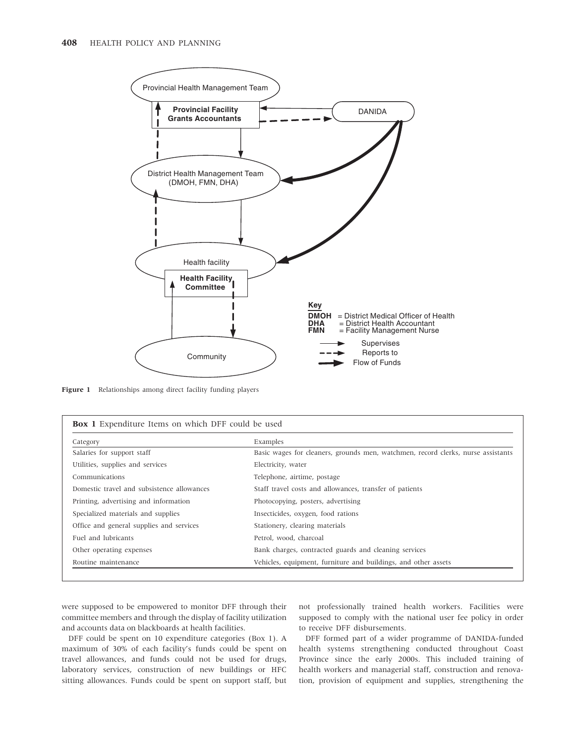

Figure 1 Relationships among direct facility funding players

| Category                                   | Examples                                                                         |
|--------------------------------------------|----------------------------------------------------------------------------------|
| Salaries for support staff                 | Basic wages for cleaners, grounds men, watchmen, record clerks, nurse assistants |
| Utilities, supplies and services           | Electricity, water                                                               |
| Communications                             | Telephone, airtime, postage                                                      |
| Domestic travel and subsistence allowances | Staff travel costs and allowances, transfer of patients                          |
| Printing, advertising and information      | Photocopying, posters, advertising                                               |
| Specialized materials and supplies         | Insecticides, oxygen, food rations                                               |
| Office and general supplies and services   | Stationery, clearing materials                                                   |
| Fuel and lubricants                        | Petrol. wood. charcoal                                                           |
| Other operating expenses                   | Bank charges, contracted guards and cleaning services                            |
| Routine maintenance                        | Vehicles, equipment, furniture and buildings, and other assets                   |

were supposed to be empowered to monitor DFF through their committee members and through the display of facility utilization and accounts data on blackboards at health facilities.

DFF could be spent on 10 expenditure categories (Box 1). A maximum of 30% of each facility's funds could be spent on travel allowances, and funds could not be used for drugs, laboratory services, construction of new buildings or HFC sitting allowances. Funds could be spent on support staff, but not professionally trained health workers. Facilities were supposed to comply with the national user fee policy in order to receive DFF disbursements.

DFF formed part of a wider programme of DANIDA-funded health systems strengthening conducted throughout Coast Province since the early 2000s. This included training of health workers and managerial staff, construction and renovation, provision of equipment and supplies, strengthening the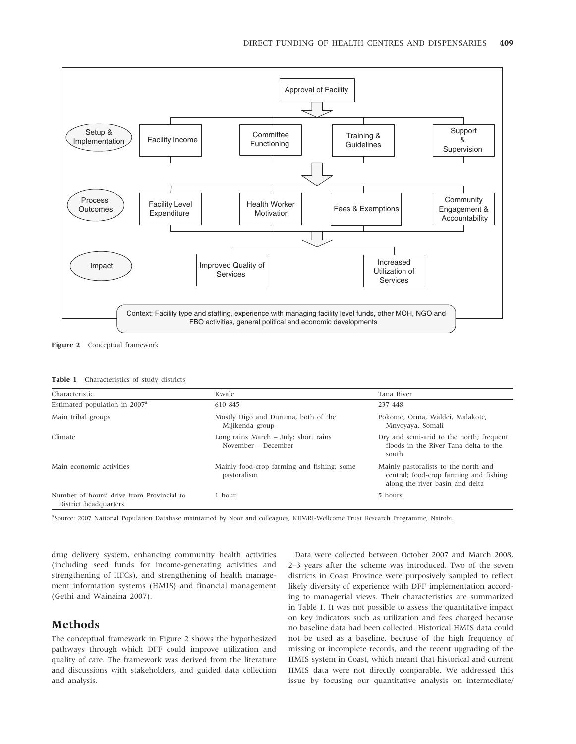

Figure 2 Conceptual framework

Table 1 Characteristics of study districts

| Characteristic                                                     | Kwale                                                       | Tana River                                                                                                        |
|--------------------------------------------------------------------|-------------------------------------------------------------|-------------------------------------------------------------------------------------------------------------------|
| Estimated population in 2007 <sup>a</sup>                          | 610 845                                                     | 237 448                                                                                                           |
| Main tribal groups                                                 | Mostly Digo and Duruma, both of the<br>Mijikenda group      | Pokomo, Orma, Waldei, Malakote,<br>Mnyoyaya, Somali                                                               |
| Climate                                                            | Long rains March – July; short rains<br>November – December | Dry and semi-arid to the north; frequent<br>floods in the River Tana delta to the<br>south                        |
| Main economic activities                                           | Mainly food-crop farming and fishing; some<br>pastoralism   | Mainly pastoralists to the north and<br>central; food-crop farming and fishing<br>along the river basin and delta |
| Number of hours' drive from Provincial to<br>District headquarters | 1 hour                                                      | 5 hours                                                                                                           |

a Source: 2007 National Population Database maintained by Noor and colleagues, KEMRI-Wellcome Trust Research Programme, Nairobi.

drug delivery system, enhancing community health activities (including seed funds for income-generating activities and strengthening of HFCs), and strengthening of health management information systems (HMIS) and financial management (Gethi and Wainaina 2007).

# Methods

The conceptual framework in Figure 2 shows the hypothesized pathways through which DFF could improve utilization and quality of care. The framework was derived from the literature and discussions with stakeholders, and guided data collection and analysis.

Data were collected between October 2007 and March 2008, 2–3 years after the scheme was introduced. Two of the seven districts in Coast Province were purposively sampled to reflect likely diversity of experience with DFF implementation according to managerial views. Their characteristics are summarized in Table 1. It was not possible to assess the quantitative impact on key indicators such as utilization and fees charged because no baseline data had been collected. Historical HMIS data could not be used as a baseline, because of the high frequency of missing or incomplete records, and the recent upgrading of the HMIS system in Coast, which meant that historical and current HMIS data were not directly comparable. We addressed this issue by focusing our quantitative analysis on intermediate/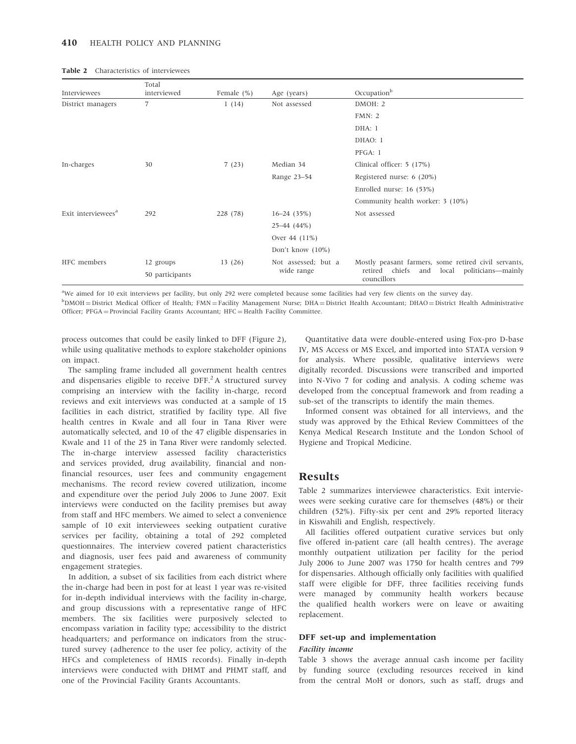#### 410 HEALTH POLICY AND PLANNING

| Table 2<br>Characteristics of interviewees |
|--------------------------------------------|
|--------------------------------------------|

| Interviewees                   | Total<br>interviewed | Female $(\%)$ | Age (years)         | Occupation <sup>b</sup>                                                |
|--------------------------------|----------------------|---------------|---------------------|------------------------------------------------------------------------|
| District managers              | $\overline{7}$       | 1(14)         | Not assessed        | DMOH: 2                                                                |
|                                |                      |               |                     | FMN: 2                                                                 |
|                                |                      |               |                     | DHA: 1                                                                 |
|                                |                      |               |                     | DHAO: 1                                                                |
|                                |                      |               |                     | PFGA: 1                                                                |
| In-charges                     | 30                   | 7(23)         | Median 34           | Clinical officer: 5 (17%)                                              |
|                                |                      |               | Range 23-54         | Registered nurse: 6 (20%)                                              |
|                                |                      |               |                     | Enrolled nurse: 16 (53%)                                               |
|                                |                      |               |                     | Community health worker: 3 (10%)                                       |
| Exit interviewees <sup>a</sup> | 292                  | 228 (78)      | $16 - 24$ (35%)     | Not assessed                                                           |
|                                |                      |               | $25-44$ (44%)       |                                                                        |
|                                |                      |               | Over 44 (11%)       |                                                                        |
|                                |                      |               | Don't know $(10\%)$ |                                                                        |
| HFC members                    | 12 groups            | 13(26)        | Not assessed; but a | Mostly peasant farmers, some retired civil servants,                   |
|                                | 50 participants      |               | wide range          | retired<br>chiefs<br>politicians—mainly<br>local<br>and<br>councillors |

<sup>a</sup>We aimed for 10 exit interviews per facility, but only 292 were completed because some facilities had very few clients on the survey day.

 $^{\rm b}$ DMOH = District Medical Officer of Health; FMN = Facility Management Nurse; DHA = District Health Accountant; DHAO = District Health Administrative Officer; PFGA = Provincial Facility Grants Accountant; HFC = Health Facility Committee.

process outcomes that could be easily linked to DFF (Figure 2), while using qualitative methods to explore stakeholder opinions on impact.

The sampling frame included all government health centres and dispensaries eligible to receive DFF.<sup>2</sup> A structured survey comprising an interview with the facility in-charge, record reviews and exit interviews was conducted at a sample of 15 facilities in each district, stratified by facility type. All five health centres in Kwale and all four in Tana River were automatically selected, and 10 of the 47 eligible dispensaries in Kwale and 11 of the 25 in Tana River were randomly selected. The in-charge interview assessed facility characteristics and services provided, drug availability, financial and nonfinancial resources, user fees and community engagement mechanisms. The record review covered utilization, income and expenditure over the period July 2006 to June 2007. Exit interviews were conducted on the facility premises but away from staff and HFC members. We aimed to select a convenience sample of 10 exit interviewees seeking outpatient curative services per facility, obtaining a total of 292 completed questionnaires. The interview covered patient characteristics and diagnosis, user fees paid and awareness of community engagement strategies.

In addition, a subset of six facilities from each district where the in-charge had been in post for at least 1 year was re-visited for in-depth individual interviews with the facility in-charge, and group discussions with a representative range of HFC members. The six facilities were purposively selected to encompass variation in facility type; accessibility to the district headquarters; and performance on indicators from the structured survey (adherence to the user fee policy, activity of the HFCs and completeness of HMIS records). Finally in-depth interviews were conducted with DHMT and PHMT staff, and one of the Provincial Facility Grants Accountants.

Quantitative data were double-entered using Fox-pro D-base IV, MS Access or MS Excel, and imported into STATA version 9 for analysis. Where possible, qualitative interviews were digitally recorded. Discussions were transcribed and imported into N-Vivo 7 for coding and analysis. A coding scheme was developed from the conceptual framework and from reading a sub-set of the transcripts to identify the main themes.

Informed consent was obtained for all interviews, and the study was approved by the Ethical Review Committees of the Kenya Medical Research Institute and the London School of Hygiene and Tropical Medicine.

## Results

Table 2 summarizes interviewee characteristics. Exit interviewees were seeking curative care for themselves (48%) or their children (52%). Fifty-six per cent and 29% reported literacy in Kiswahili and English, respectively.

All facilities offered outpatient curative services but only five offered in-patient care (all health centres). The average monthly outpatient utilization per facility for the period July 2006 to June 2007 was 1750 for health centres and 799 for dispensaries. Although officially only facilities with qualified staff were eligible for DFF, three facilities receiving funds were managed by community health workers because the qualified health workers were on leave or awaiting replacement.

#### DFF set-up and implementation

#### Facility income

Table 3 shows the average annual cash income per facility by funding source (excluding resources received in kind from the central MoH or donors, such as staff, drugs and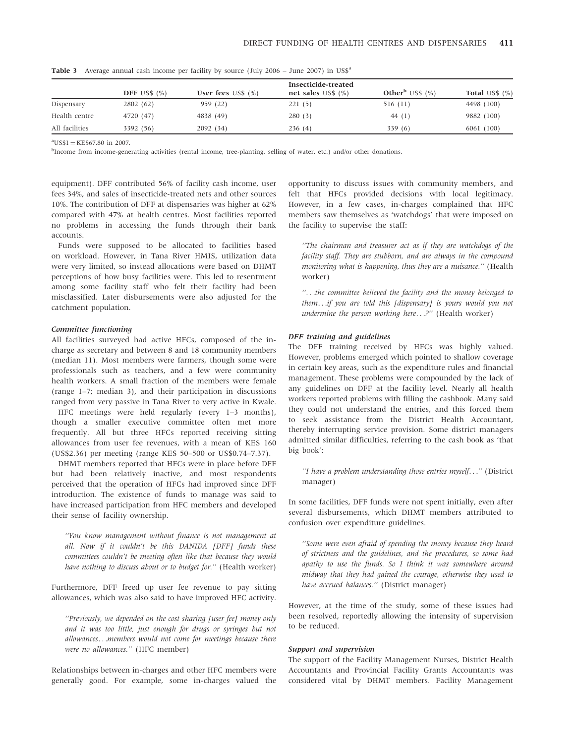|                |                        |                        | Insecticide-treated  |                                |                          |
|----------------|------------------------|------------------------|----------------------|--------------------------------|--------------------------|
|                | <b>DFF</b> US\$ $(\%)$ | User fees $US\$ $(\%)$ | net sales US\$ $(%)$ | Other <sup>b</sup> US\$ $(\%)$ | <b>Total US\$</b> $(\%)$ |
| Dispensary     | 2802(62)               | 959 (22)               | 221(5)               | 516 (11)                       | 4498 (100)               |
| Health centre  | 4720 (47)              | 4838 (49)              | 280(3)               | 44 (1)                         | 9882 (100)               |
| All facilities | 3392 (56)              | 2092 (34)              | 236(4)               | 339(6)                         | 6061 (100)               |

**Table 3** Average annual cash income per facility by source (July 2006 – June 2007) in US $\mathbb{S}^a$ 

 $\mathrm{^{a}US\$1} = \mathrm{KES67.80}$  in 2007.

<sup>b</sup>Income from income-generating activities (rental income, tree-planting, selling of water, etc.) and/or other donations.

equipment). DFF contributed 56% of facility cash income, user fees 34%, and sales of insecticide-treated nets and other sources 10%. The contribution of DFF at dispensaries was higher at 62% compared with 47% at health centres. Most facilities reported no problems in accessing the funds through their bank accounts.

Funds were supposed to be allocated to facilities based on workload. However, in Tana River HMIS, utilization data were very limited, so instead allocations were based on DHMT perceptions of how busy facilities were. This led to resentment among some facility staff who felt their facility had been misclassified. Later disbursements were also adjusted for the catchment population.

#### Committee functioning

All facilities surveyed had active HFCs, composed of the incharge as secretary and between 8 and 18 community members (median 11). Most members were farmers, though some were professionals such as teachers, and a few were community health workers. A small fraction of the members were female (range 1–7; median 3), and their participation in discussions ranged from very passive in Tana River to very active in Kwale.

HFC meetings were held regularly (every 1–3 months), though a smaller executive committee often met more frequently. All but three HFCs reported receiving sitting allowances from user fee revenues, with a mean of KES 160 (US\$2.36) per meeting (range KES 50–500 or US\$0.74–7.37).

DHMT members reported that HFCs were in place before DFF but had been relatively inactive, and most respondents perceived that the operation of HFCs had improved since DFF introduction. The existence of funds to manage was said to have increased participation from HFC members and developed their sense of facility ownership.

''You know management without finance is not management at all. Now if it couldn't be this DANIDA [DFF] funds these committees couldn't be meeting often like that because they would have nothing to discuss about or to budget for.'' (Health worker)

Furthermore, DFF freed up user fee revenue to pay sitting allowances, which was also said to have improved HFC activity.

''Previously, we depended on the cost sharing [user fee] money only and it was too little, just enough for drugs or syringes but not allowances...members would not come for meetings because there were no allowances.'' (HFC member)

Relationships between in-charges and other HFC members were generally good. For example, some in-charges valued the

opportunity to discuss issues with community members, and felt that HFCs provided decisions with local legitimacy. However, in a few cases, in-charges complained that HFC members saw themselves as 'watchdogs' that were imposed on the facility to supervise the staff:

''The chairman and treasurer act as if they are watchdogs of the facility staff. They are stubborn, and are always in the compound monitoring what is happening, thus they are a nuisance.'' (Health worker)

''...the committee believed the facility and the money belonged to them...if you are told this [dispensary] is yours would you not undermine the person working here...?" (Health worker)

#### DFF training and guidelines

The DFF training received by HFCs was highly valued. However, problems emerged which pointed to shallow coverage in certain key areas, such as the expenditure rules and financial management. These problems were compounded by the lack of any guidelines on DFF at the facility level. Nearly all health workers reported problems with filling the cashbook. Many said they could not understand the entries, and this forced them to seek assistance from the District Health Accountant, thereby interrupting service provision. Some district managers admitted similar difficulties, referring to the cash book as 'that big book':

''I have a problem understanding those entries myself...'' (District manager)

In some facilities, DFF funds were not spent initially, even after several disbursements, which DHMT members attributed to confusion over expenditure guidelines.

''Some were even afraid of spending the money because they heard of strictness and the guidelines, and the procedures, so some had apathy to use the funds. So I think it was somewhere around midway that they had gained the courage, otherwise they used to have accrued balances." (District manager)

However, at the time of the study, some of these issues had been resolved, reportedly allowing the intensity of supervision to be reduced.

#### Support and supervision

The support of the Facility Management Nurses, District Health Accountants and Provincial Facility Grants Accountants was considered vital by DHMT members. Facility Management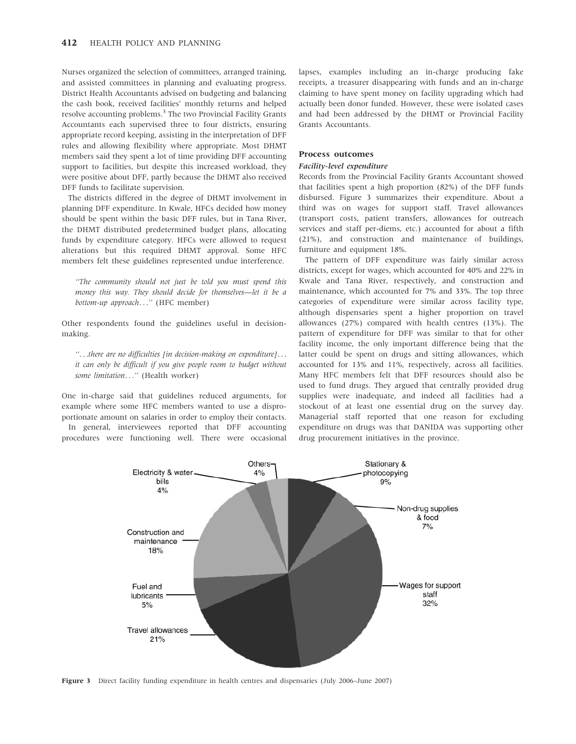Nurses organized the selection of committees, arranged training, and assisted committees in planning and evaluating progress. District Health Accountants advised on budgeting and balancing the cash book, received facilities' monthly returns and helped resolve accounting problems.<sup>3</sup> The two Provincial Facility Grants Accountants each supervised three to four districts, ensuring appropriate record keeping, assisting in the interpretation of DFF rules and allowing flexibility where appropriate. Most DHMT members said they spent a lot of time providing DFF accounting support to facilities, but despite this increased workload, they were positive about DFF, partly because the DHMT also received DFF funds to facilitate supervision.

The districts differed in the degree of DHMT involvement in planning DFF expenditure. In Kwale, HFCs decided how money should be spent within the basic DFF rules, but in Tana River, the DHMT distributed predetermined budget plans, allocating funds by expenditure category. HFCs were allowed to request alterations but this required DHMT approval. Some HFC members felt these guidelines represented undue interference.

''The community should not just be told you must spend this money this way. They should decide for themselves—let it be a bottom-up approach...'' (HFC member)

Other respondents found the guidelines useful in decisionmaking.

''...there are no difficulties [in decision-making on expenditure]... it can only be difficult if you give people room to budget without some limitation...'' (Health worker)

One in-charge said that guidelines reduced arguments, for example where some HFC members wanted to use a disproportionate amount on salaries in order to employ their contacts. In general, interviewees reported that DFF accounting procedures were functioning well. There were occasional

lapses, examples including an in-charge producing fake receipts, a treasurer disappearing with funds and an in-charge claiming to have spent money on facility upgrading which had actually been donor funded. However, these were isolated cases and had been addressed by the DHMT or Provincial Facility Grants Accountants.

#### Process outcomes

#### Facility-level expenditure

Records from the Provincial Facility Grants Accountant showed that facilities spent a high proportion (82%) of the DFF funds disbursed. Figure 3 summarizes their expenditure. About a third was on wages for support staff. Travel allowances (transport costs, patient transfers, allowances for outreach services and staff per-diems, etc.) accounted for about a fifth (21%), and construction and maintenance of buildings, furniture and equipment 18%.

The pattern of DFF expenditure was fairly similar across districts, except for wages, which accounted for 40% and 22% in Kwale and Tana River, respectively, and construction and maintenance, which accounted for 7% and 33%. The top three categories of expenditure were similar across facility type, although dispensaries spent a higher proportion on travel allowances (27%) compared with health centres (13%). The pattern of expenditure for DFF was similar to that for other facility income, the only important difference being that the latter could be spent on drugs and sitting allowances, which accounted for 13% and 11%, respectively, across all facilities. Many HFC members felt that DFF resources should also be used to fund drugs. They argued that centrally provided drug supplies were inadequate, and indeed all facilities had a stockout of at least one essential drug on the survey day. Managerial staff reported that one reason for excluding expenditure on drugs was that DANIDA was supporting other drug procurement initiatives in the province.



Figure 3 Direct facility funding expenditure in health centres and dispensaries (July 2006–June 2007)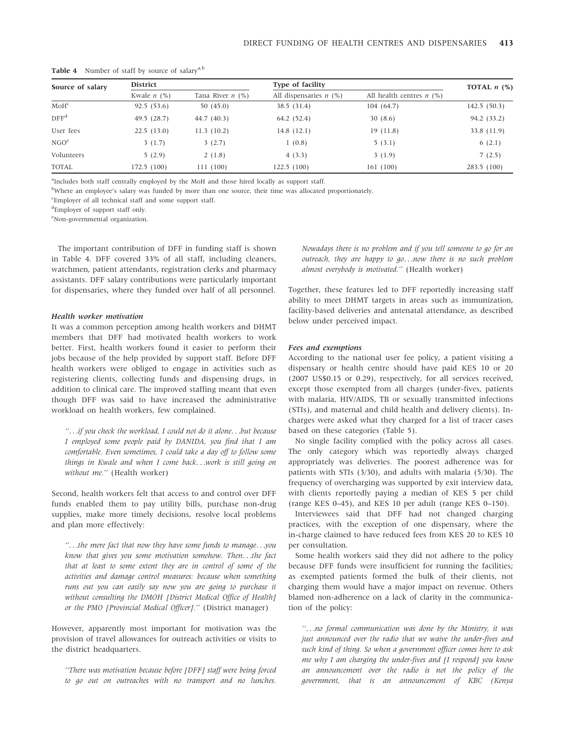| Source of salary | <b>District</b> |                    | Type of facility         | TOTAL $n$ $(\%)$           |             |
|------------------|-----------------|--------------------|--------------------------|----------------------------|-------------|
|                  | Kwale $n$ (%)   | Tana River $n$ (%) | All dispensaries $n$ (%) | All health centres $n$ (%) |             |
| MoH <sup>c</sup> | 92.5(53.6)      | 50(45.0)           | 38.5 (31.4)              | 104(64.7)                  | 142.5(50.3) |
| $DFF^d$          | 49.5 (28.7)     | 44.7(40.3)         | 64.2 (52.4)              | 30(8.6)                    | 94.2 (33.2) |
| User fees        | 22.5(13.0)      | 11.3(10.2)         | 14.8(12.1)               | 19(11.8)                   | 33.8 (11.9) |
| NGO <sup>c</sup> | 3(1.7)          | 3(2.7)             | 1(0.8)                   | 5(3.1)                     | 6(2.1)      |
| Volunteers       | 5(2.9)          | 2(1.8)             | 4(3.3)                   | 3(1.9)                     | 7(2.5)      |
| TOTAL            | 172.5(100)      | 111(100)           | 122.5(100)               | 161 (100)                  | 283.5 (100) |

Table 4 Number of staff by source of salary<sup>a,b</sup>

<sup>a</sup>Includes both staff centrally employed by the MoH and those hired locally as support staff.

b Where an employee's salary was funded by more than one source, their time was allocated proportionately.

c Employer of all technical staff and some support staff.

d Employer of support staff only.

e Non-governmental organization.

The important contribution of DFF in funding staff is shown in Table 4. DFF covered 33% of all staff, including cleaners, watchmen, patient attendants, registration clerks and pharmacy assistants. DFF salary contributions were particularly important for dispensaries, where they funded over half of all personnel.

#### Health worker motivation

It was a common perception among health workers and DHMT members that DFF had motivated health workers to work better. First, health workers found it easier to perform their jobs because of the help provided by support staff. Before DFF health workers were obliged to engage in activities such as registering clients, collecting funds and dispensing drugs, in addition to clinical care. The improved staffing meant that even though DFF was said to have increased the administrative workload on health workers, few complained.

''...if you check the workload, I could not do it alone...but because I employed some people paid by DANIDA, you find that I am comfortable. Even sometimes, I could take a day off to follow some things in Kwale and when I come back...work is still going on without me." (Health worker)

Second, health workers felt that access to and control over DFF funds enabled them to pay utility bills, purchase non-drug supplies, make more timely decisions, resolve local problems and plan more effectively:

''...the mere fact that now they have some funds to manage...you know that gives you some motivation somehow. Then...the fact that at least to some extent they are in control of some of the activities and damage control measures: because when something runs out you can easily say now you are going to purchase it without consulting the DMOH [District Medical Office of Health] or the PMO [Provincial Medical Officer].'' (District manager)

However, apparently most important for motivation was the provision of travel allowances for outreach activities or visits to the district headquarters.

''There was motivation because before [DFF] staff were being forced to go out on outreaches with no transport and no lunches.

Nowadays there is no problem and if you tell someone to go for an outreach, they are happy to go...now there is no such problem almost everybody is motivated.'' (Health worker)

Together, these features led to DFF reportedly increasing staff ability to meet DHMT targets in areas such as immunization, facility-based deliveries and antenatal attendance, as described below under perceived impact.

#### Fees and exemptions

According to the national user fee policy, a patient visiting a dispensary or health centre should have paid KES 10 or 20 (2007 US\$0.15 or 0.29), respectively, for all services received, except those exempted from all charges (under-fives, patients with malaria, HIV/AIDS, TB or sexually transmitted infections (STIs), and maternal and child health and delivery clients). Incharges were asked what they charged for a list of tracer cases based on these categories (Table 5).

No single facility complied with the policy across all cases. The only category which was reportedly always charged appropriately was deliveries. The poorest adherence was for patients with STIs (3/30), and adults with malaria (5/30). The frequency of overcharging was supported by exit interview data, with clients reportedly paying a median of KES 5 per child (range KES 0–45), and KES 10 per adult (range KES 0–150).

Interviewees said that DFF had not changed charging practices, with the exception of one dispensary, where the in-charge claimed to have reduced fees from KES 20 to KES 10 per consultation.

Some health workers said they did not adhere to the policy because DFF funds were insufficient for running the facilities; as exempted patients formed the bulk of their clients, not charging them would have a major impact on revenue. Others blamed non-adherence on a lack of clarity in the communication of the policy:

''...no formal communication was done by the Ministry, it was just announced over the radio that we waive the under-fives and such kind of thing. So when a government officer comes here to ask me why I am charging the under-fives and [I respond] you know an announcement over the radio is not the policy of the government, that is an announcement of KBC (Kenya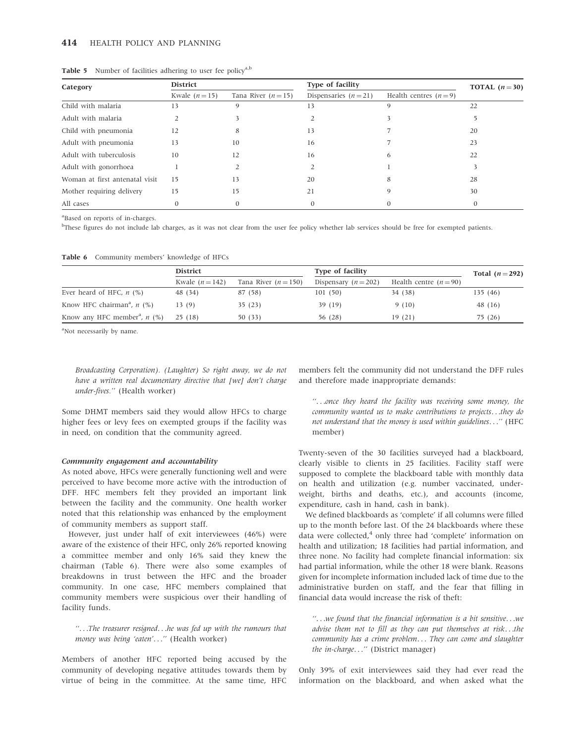#### 414 HEALTH POLICY AND PLANNING

| Category                       | <b>District</b> |                     | Type of facility      | TOTAL $(n=30)$         |    |  |
|--------------------------------|-----------------|---------------------|-----------------------|------------------------|----|--|
|                                | Kwale $(n=15)$  | Tana River $(n=15)$ | Dispensaries $(n=21)$ | Health centres $(n=9)$ |    |  |
| Child with malaria             | 13              | 9                   | 13                    | Q                      | 22 |  |
| Adult with malaria             |                 |                     |                       |                        |    |  |
| Child with pneumonia           | 12              | 8                   | 13                    |                        | 20 |  |
| Adult with pneumonia           | 13              | 10                  | 16                    |                        | 23 |  |
| Adult with tuberculosis        | 10              | 12                  | 16                    | 6                      | 22 |  |
| Adult with gonorrhoea          |                 |                     |                       |                        |    |  |
| Woman at first antenatal visit | 15              | 13                  | 20                    | 8                      | 28 |  |
| Mother requiring delivery      | 15              | 15                  | 21                    |                        | 30 |  |
| All cases                      | $\Omega$        | $\Omega$            | $\Omega$              |                        |    |  |

Table 5 Number of facilities adhering to user fee policy<sup>a,b</sup>

a Based on reports of in-charges.

<sup>b</sup>These figures do not include lab charges, as it was not clear from the user fee policy whether lab services should be free for exempted patients.

Table 6 Community members' knowledge of HFCs

|                                            | <b>District</b> |                      | Type of facility     |                        | Total $(n=292)$ |
|--------------------------------------------|-----------------|----------------------|----------------------|------------------------|-----------------|
|                                            | Kwale $(n=142)$ | Tana River $(n=150)$ | Dispensary $(n=202)$ | Health centre $(n=90)$ |                 |
| Ever heard of HFC, $n$ (%)                 | 48 (34)         | 87 (58)              | 101(50)              | 34 (38)                | 135(46)         |
| Know HFC chairman <sup>a</sup> , $n$ (%)   | 13(9)           | 35(23)               | 39 (19)              | 9(10)                  | 48 (16)         |
| Know any HFC member <sup>a</sup> , $n$ (%) | 25(18)          | 50 (33)              | 56 (28)              | 19(21)                 | 75 (26)         |

<sup>a</sup>Not necessarily by name.

Broadcasting Corporation). (Laughter) So right away, we do not have a written real documentary directive that [we] don't charge under-fives.'' (Health worker)

Some DHMT members said they would allow HFCs to charge higher fees or levy fees on exempted groups if the facility was in need, on condition that the community agreed.

#### Community engagement and accountability

As noted above, HFCs were generally functioning well and were perceived to have become more active with the introduction of DFF. HFC members felt they provided an important link between the facility and the community. One health worker noted that this relationship was enhanced by the employment of community members as support staff.

However, just under half of exit interviewees (46%) were aware of the existence of their HFC, only 26% reported knowing a committee member and only 16% said they knew the chairman (Table 6). There were also some examples of breakdowns in trust between the HFC and the broader community. In one case, HFC members complained that community members were suspicious over their handling of facility funds.

''...The treasurer resigned...he was fed up with the rumours that money was being 'eaten'..." (Health worker)

Members of another HFC reported being accused by the community of developing negative attitudes towards them by virtue of being in the committee. At the same time, HFC

members felt the community did not understand the DFF rules and therefore made inappropriate demands:

''...once they heard the facility was receiving some money, the community wanted us to make contributions to projects...they do not understand that the money is used within guidelines...'' (HFC member)

Twenty-seven of the 30 facilities surveyed had a blackboard, clearly visible to clients in 25 facilities. Facility staff were supposed to complete the blackboard table with monthly data on health and utilization (e.g. number vaccinated, underweight, births and deaths, etc.), and accounts (income, expenditure, cash in hand, cash in bank).

We defined blackboards as 'complete' if all columns were filled up to the month before last. Of the 24 blackboards where these data were collected, $4$  only three had 'complete' information on health and utilization; 18 facilities had partial information, and three none. No facility had complete financial information: six had partial information, while the other 18 were blank. Reasons given for incomplete information included lack of time due to the administrative burden on staff, and the fear that filling in financial data would increase the risk of theft:

''...we found that the financial information is a bit sensitive...we advise them not to fill as they can put themselves at risk...the community has a crime problem... They can come and slaughter the in-charge...'' (District manager)

Only 39% of exit interviewees said they had ever read the information on the blackboard, and when asked what the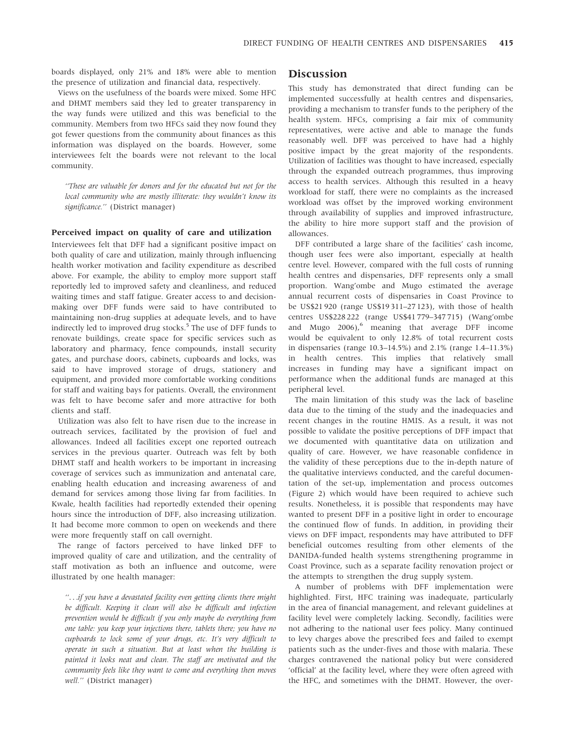boards displayed, only 21% and 18% were able to mention the presence of utilization and financial data, respectively.

Views on the usefulness of the boards were mixed. Some HFC and DHMT members said they led to greater transparency in the way funds were utilized and this was beneficial to the community. Members from two HFCs said they now found they got fewer questions from the community about finances as this information was displayed on the boards. However, some interviewees felt the boards were not relevant to the local community.

''These are valuable for donors and for the educated but not for the local community who are mostly illiterate: they wouldn't know its significance.'' (District manager)

#### Perceived impact on quality of care and utilization

Interviewees felt that DFF had a significant positive impact on both quality of care and utilization, mainly through influencing health worker motivation and facility expenditure as described above. For example, the ability to employ more support staff reportedly led to improved safety and cleanliness, and reduced waiting times and staff fatigue. Greater access to and decisionmaking over DFF funds were said to have contributed to maintaining non-drug supplies at adequate levels, and to have indirectly led to improved drug stocks.<sup>5</sup> The use of DFF funds to renovate buildings, create space for specific services such as laboratory and pharmacy, fence compounds, install security gates, and purchase doors, cabinets, cupboards and locks, was said to have improved storage of drugs, stationery and equipment, and provided more comfortable working conditions for staff and waiting bays for patients. Overall, the environment was felt to have become safer and more attractive for both clients and staff.

Utilization was also felt to have risen due to the increase in outreach services, facilitated by the provision of fuel and allowances. Indeed all facilities except one reported outreach services in the previous quarter. Outreach was felt by both DHMT staff and health workers to be important in increasing coverage of services such as immunization and antenatal care, enabling health education and increasing awareness of and demand for services among those living far from facilities. In Kwale, health facilities had reportedly extended their opening hours since the introduction of DFF, also increasing utilization. It had become more common to open on weekends and there were more frequently staff on call overnight.

The range of factors perceived to have linked DFF to improved quality of care and utilization, and the centrality of staff motivation as both an influence and outcome, were illustrated by one health manager:

''...if you have a devastated facility even getting clients there might be difficult. Keeping it clean will also be difficult and infection prevention would be difficult if you only maybe do everything from one table: you keep your injections there, tablets there; you have no cupboards to lock some of your drugs, etc. It's very difficult to operate in such a situation. But at least when the building is painted it looks neat and clean. The staff are motivated and the community feels like they want to come and everything then moves well.'' (District manager)

### **Discussion**

This study has demonstrated that direct funding can be implemented successfully at health centres and dispensaries, providing a mechanism to transfer funds to the periphery of the health system. HFCs, comprising a fair mix of community representatives, were active and able to manage the funds reasonably well. DFF was perceived to have had a highly positive impact by the great majority of the respondents. Utilization of facilities was thought to have increased, especially through the expanded outreach programmes, thus improving access to health services. Although this resulted in a heavy workload for staff, there were no complaints as the increased workload was offset by the improved working environment through availability of supplies and improved infrastructure, the ability to hire more support staff and the provision of allowances.

DFF contributed a large share of the facilities' cash income, though user fees were also important, especially at health centre level. However, compared with the full costs of running health centres and dispensaries, DFF represents only a small proportion. Wang'ombe and Mugo estimated the average annual recurrent costs of dispensaries in Coast Province to be US\$21 920 (range US\$19 311–27 123), with those of health centres US\$228 222 (range US\$41 779–347 715) (Wang'ombe and Mugo  $2006$ ,<sup>6</sup> meaning that average DFF income would be equivalent to only 12.8% of total recurrent costs in dispensaries (range 10.3–14.5%) and 2.1% (range 1.4–11.3%) in health centres. This implies that relatively small increases in funding may have a significant impact on performance when the additional funds are managed at this peripheral level.

The main limitation of this study was the lack of baseline data due to the timing of the study and the inadequacies and recent changes in the routine HMIS. As a result, it was not possible to validate the positive perceptions of DFF impact that we documented with quantitative data on utilization and quality of care. However, we have reasonable confidence in the validity of these perceptions due to the in-depth nature of the qualitative interviews conducted, and the careful documentation of the set-up, implementation and process outcomes (Figure 2) which would have been required to achieve such results. Nonetheless, it is possible that respondents may have wanted to present DFF in a positive light in order to encourage the continued flow of funds. In addition, in providing their views on DFF impact, respondents may have attributed to DFF beneficial outcomes resulting from other elements of the DANIDA-funded health systems strengthening programme in Coast Province, such as a separate facility renovation project or the attempts to strengthen the drug supply system.

A number of problems with DFF implementation were highlighted. First, HFC training was inadequate, particularly in the area of financial management, and relevant guidelines at facility level were completely lacking. Secondly, facilities were not adhering to the national user fees policy. Many continued to levy charges above the prescribed fees and failed to exempt patients such as the under-fives and those with malaria. These charges contravened the national policy but were considered 'official' at the facility level, where they were often agreed with the HFC, and sometimes with the DHMT. However, the over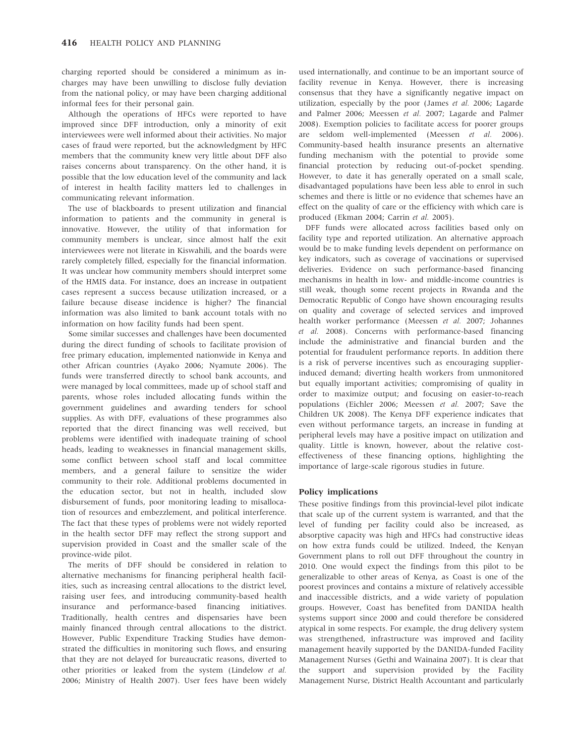charging reported should be considered a minimum as incharges may have been unwilling to disclose fully deviation from the national policy, or may have been charging additional informal fees for their personal gain.

Although the operations of HFCs were reported to have improved since DFF introduction, only a minority of exit interviewees were well informed about their activities. No major cases of fraud were reported, but the acknowledgment by HFC members that the community knew very little about DFF also raises concerns about transparency. On the other hand, it is possible that the low education level of the community and lack of interest in health facility matters led to challenges in communicating relevant information.

The use of blackboards to present utilization and financial information to patients and the community in general is innovative. However, the utility of that information for community members is unclear, since almost half the exit interviewees were not literate in Kiswahili, and the boards were rarely completely filled, especially for the financial information. It was unclear how community members should interpret some of the HMIS data. For instance, does an increase in outpatient cases represent a success because utilization increased, or a failure because disease incidence is higher? The financial information was also limited to bank account totals with no information on how facility funds had been spent.

Some similar successes and challenges have been documented during the direct funding of schools to facilitate provision of free primary education, implemented nationwide in Kenya and other African countries (Ayako 2006; Nyamute 2006). The funds were transferred directly to school bank accounts, and were managed by local committees, made up of school staff and parents, whose roles included allocating funds within the government guidelines and awarding tenders for school supplies. As with DFF, evaluations of these programmes also reported that the direct financing was well received, but problems were identified with inadequate training of school heads, leading to weaknesses in financial management skills, some conflict between school staff and local committee members, and a general failure to sensitize the wider community to their role. Additional problems documented in the education sector, but not in health, included slow disbursement of funds, poor monitoring leading to misallocation of resources and embezzlement, and political interference. The fact that these types of problems were not widely reported in the health sector DFF may reflect the strong support and supervision provided in Coast and the smaller scale of the province-wide pilot.

The merits of DFF should be considered in relation to alternative mechanisms for financing peripheral health facilities, such as increasing central allocations to the district level, raising user fees, and introducing community-based health insurance and performance-based financing initiatives. Traditionally, health centres and dispensaries have been mainly financed through central allocations to the district. However, Public Expenditure Tracking Studies have demonstrated the difficulties in monitoring such flows, and ensuring that they are not delayed for bureaucratic reasons, diverted to other priorities or leaked from the system (Lindelow et al. 2006; Ministry of Health 2007). User fees have been widely

used internationally, and continue to be an important source of facility revenue in Kenya. However, there is increasing consensus that they have a significantly negative impact on utilization, especially by the poor (James et al. 2006; Lagarde and Palmer 2006; Meessen et al. 2007; Lagarde and Palmer 2008). Exemption policies to facilitate access for poorer groups are seldom well-implemented (Meessen et al. 2006). Community-based health insurance presents an alternative funding mechanism with the potential to provide some financial protection by reducing out-of-pocket spending. However, to date it has generally operated on a small scale, disadvantaged populations have been less able to enrol in such schemes and there is little or no evidence that schemes have an effect on the quality of care or the efficiency with which care is produced (Ekman 2004; Carrin et al. 2005).

DFF funds were allocated across facilities based only on facility type and reported utilization. An alternative approach would be to make funding levels dependent on performance on key indicators, such as coverage of vaccinations or supervised deliveries. Evidence on such performance-based financing mechanisms in health in low- and middle-income countries is still weak, though some recent projects in Rwanda and the Democratic Republic of Congo have shown encouraging results on quality and coverage of selected services and improved health worker performance (Meessen et al. 2007; Johannes et al. 2008). Concerns with performance-based financing include the administrative and financial burden and the potential for fraudulent performance reports. In addition there is a risk of perverse incentives such as encouraging supplierinduced demand; diverting health workers from unmonitored but equally important activities; compromising of quality in order to maximize output; and focusing on easier-to-reach populations (Eichler 2006; Meessen et al. 2007; Save the Children UK 2008). The Kenya DFF experience indicates that even without performance targets, an increase in funding at peripheral levels may have a positive impact on utilization and quality. Little is known, however, about the relative costeffectiveness of these financing options, highlighting the importance of large-scale rigorous studies in future.

#### Policy implications

These positive findings from this provincial-level pilot indicate that scale up of the current system is warranted, and that the level of funding per facility could also be increased, as absorptive capacity was high and HFCs had constructive ideas on how extra funds could be utilized. Indeed, the Kenyan Government plans to roll out DFF throughout the country in 2010. One would expect the findings from this pilot to be generalizable to other areas of Kenya, as Coast is one of the poorest provinces and contains a mixture of relatively accessible and inaccessible districts, and a wide variety of population groups. However, Coast has benefited from DANIDA health systems support since 2000 and could therefore be considered atypical in some respects. For example, the drug delivery system was strengthened, infrastructure was improved and facility management heavily supported by the DANIDA-funded Facility Management Nurses (Gethi and Wainaina 2007). It is clear that the support and supervision provided by the Facility Management Nurse, District Health Accountant and particularly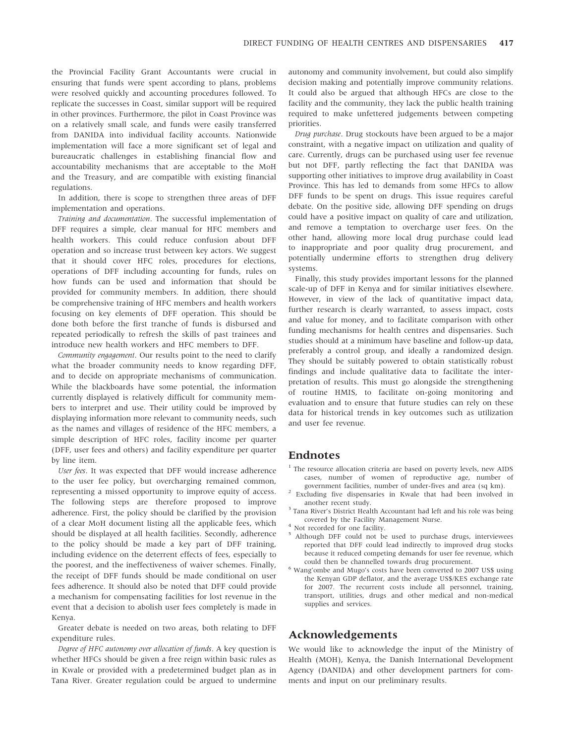the Provincial Facility Grant Accountants were crucial in ensuring that funds were spent according to plans, problems were resolved quickly and accounting procedures followed. To replicate the successes in Coast, similar support will be required in other provinces. Furthermore, the pilot in Coast Province was on a relatively small scale, and funds were easily transferred from DANIDA into individual facility accounts. Nationwide implementation will face a more significant set of legal and bureaucratic challenges in establishing financial flow and accountability mechanisms that are acceptable to the MoH and the Treasury, and are compatible with existing financial regulations.

In addition, there is scope to strengthen three areas of DFF implementation and operations.

Training and documentation. The successful implementation of DFF requires a simple, clear manual for HFC members and health workers. This could reduce confusion about DFF operation and so increase trust between key actors. We suggest that it should cover HFC roles, procedures for elections, operations of DFF including accounting for funds, rules on how funds can be used and information that should be provided for community members. In addition, there should be comprehensive training of HFC members and health workers focusing on key elements of DFF operation. This should be done both before the first tranche of funds is disbursed and repeated periodically to refresh the skills of past trainees and introduce new health workers and HFC members to DFF.

Community engagement. Our results point to the need to clarify what the broader community needs to know regarding DFF, and to decide on appropriate mechanisms of communication. While the blackboards have some potential, the information currently displayed is relatively difficult for community members to interpret and use. Their utility could be improved by displaying information more relevant to community needs, such as the names and villages of residence of the HFC members, a simple description of HFC roles, facility income per quarter (DFF, user fees and others) and facility expenditure per quarter by line item.

User fees. It was expected that DFF would increase adherence to the user fee policy, but overcharging remained common, representing a missed opportunity to improve equity of access. The following steps are therefore proposed to improve adherence. First, the policy should be clarified by the provision of a clear MoH document listing all the applicable fees, which should be displayed at all health facilities. Secondly, adherence to the policy should be made a key part of DFF training, including evidence on the deterrent effects of fees, especially to the poorest, and the ineffectiveness of waiver schemes. Finally, the receipt of DFF funds should be made conditional on user fees adherence. It should also be noted that DFF could provide a mechanism for compensating facilities for lost revenue in the event that a decision to abolish user fees completely is made in Kenya.

Greater debate is needed on two areas, both relating to DFF expenditure rules.

Degree of HFC autonomy over allocation of funds. A key question is whether HFCs should be given a free reign within basic rules as in Kwale or provided with a predetermined budget plan as in Tana River. Greater regulation could be argued to undermine autonomy and community involvement, but could also simplify decision making and potentially improve community relations. It could also be argued that although HFCs are close to the facility and the community, they lack the public health training required to make unfettered judgements between competing priorities.

Drug purchase. Drug stockouts have been argued to be a major constraint, with a negative impact on utilization and quality of care. Currently, drugs can be purchased using user fee revenue but not DFF, partly reflecting the fact that DANIDA was supporting other initiatives to improve drug availability in Coast Province. This has led to demands from some HFCs to allow DFF funds to be spent on drugs. This issue requires careful debate. On the positive side, allowing DFF spending on drugs could have a positive impact on quality of care and utilization, and remove a temptation to overcharge user fees. On the other hand, allowing more local drug purchase could lead to inappropriate and poor quality drug procurement, and potentially undermine efforts to strengthen drug delivery systems.

Finally, this study provides important lessons for the planned scale-up of DFF in Kenya and for similar initiatives elsewhere. However, in view of the lack of quantitative impact data, further research is clearly warranted, to assess impact, costs and value for money, and to facilitate comparison with other funding mechanisms for health centres and dispensaries. Such studies should at a minimum have baseline and follow-up data, preferably a control group, and ideally a randomized design. They should be suitably powered to obtain statistically robust findings and include qualitative data to facilitate the interpretation of results. This must go alongside the strengthening of routine HMIS, to facilitate on-going monitoring and evaluation and to ensure that future studies can rely on these data for historical trends in key outcomes such as utilization and user fee revenue.

## Endnotes

- <sup>1</sup> The resource allocation criteria are based on poverty levels, new AIDS cases, number of women of reproductive age, number of government facilities, number of under-fives and area (sq km).
- Excluding five dispensaries in Kwale that had been involved in another recent study. <sup>3</sup> Tana River's District Health Accountant had left and his role was being
- covered by the Facility Management Nurse. <sup>4</sup> Not recorded for one facility. <sup>5</sup> Although DFF could not be used to purchase drugs, interviewees
- 
- reported that DFF could lead indirectly to improved drug stocks because it reduced competing demands for user fee revenue, which
- could then be channelled towards drug procurement. <sup>6</sup> Wang'ombe and Mugo's costs have been converted to 2007 US\$ using the Kenyan GDP deflator, and the average US\$/KES exchange rate for 2007. The recurrent costs include all personnel, training, transport, utilities, drugs and other medical and non-medical supplies and services.

# Acknowledgements

We would like to acknowledge the input of the Ministry of Health (MOH), Kenya, the Danish International Development Agency (DANIDA) and other development partners for comments and input on our preliminary results.